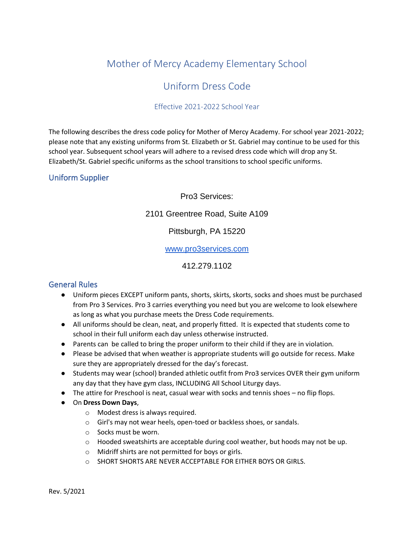## Mother of Mercy Academy Elementary School

## Uniform Dress Code

#### Effective 2021-2022 School Year

The following describes the dress code policy for Mother of Mercy Academy. For school year 2021-2022; please note that any existing uniforms from St. Elizabeth or St. Gabriel may continue to be used for this school year. Subsequent school years will adhere to a revised dress code which will drop any St. Elizabeth/St. Gabriel specific uniforms as the school transitions to school specific uniforms.

### Uniform Supplier

### Pro3 Services:

### 2101 Greentree Road, Suite A109

### Pittsburgh, PA 15220

#### [www.pro3services.com](http://www.pro3services.com/)

### 412.279.1102

### General Rules

- Uniform pieces EXCEPT uniform pants, shorts, skirts, skorts, socks and shoes must be purchased from Pro 3 Services. Pro 3 carries everything you need but you are welcome to look elsewhere as long as what you purchase meets the Dress Code requirements.
- All uniforms should be clean, neat, and properly fitted. It is expected that students come to school in their full uniform each day unless otherwise instructed.
- Parents can be called to bring the proper uniform to their child if they are in violation.
- Please be advised that when weather is appropriate students will go outside for recess. Make sure they are appropriately dressed for the day's forecast.
- Students may wear (school) branded athletic outfit from Pro3 services OVER their gym uniform any day that they have gym class, INCLUDING All School Liturgy days.
- The attire for Preschool is neat, casual wear with socks and tennis shoes no flip flops.
- On **Dress Down Days**,
	- o Modest dress is always required.
	- o Girl's may not wear heels, open-toed or backless shoes, or sandals.
	- o Socks must be worn.
	- $\circ$  Hooded sweatshirts are acceptable during cool weather, but hoods may not be up.
	- o Midriff shirts are not permitted for boys or girls.
	- o SHORT SHORTS ARE NEVER ACCEPTABLE FOR EITHER BOYS OR GIRLS.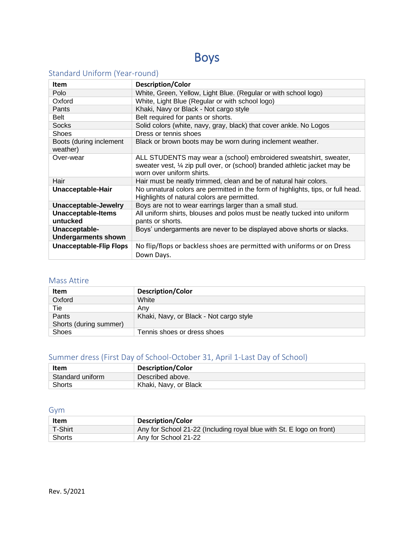# Boys

## Standard Uniform (Year-round)

| Item                                        | <b>Description/Color</b>                                                                                                                                                      |
|---------------------------------------------|-------------------------------------------------------------------------------------------------------------------------------------------------------------------------------|
| Polo                                        | White, Green, Yellow, Light Blue. (Regular or with school logo)                                                                                                               |
| Oxford                                      | White, Light Blue (Regular or with school logo)                                                                                                                               |
| Pants                                       | Khaki, Navy or Black - Not cargo style                                                                                                                                        |
| <b>Belt</b>                                 | Belt required for pants or shorts.                                                                                                                                            |
| <b>Socks</b>                                | Solid colors (white, navy, gray, black) that cover ankle. No Logos                                                                                                            |
| <b>Shoes</b>                                | Dress or tennis shoes                                                                                                                                                         |
| Boots (during inclement<br>weather)         | Black or brown boots may be worn during inclement weather.                                                                                                                    |
| Over-wear                                   | ALL STUDENTS may wear a (school) embroidered sweatshirt, sweater,<br>sweater vest, 1/4 zip pull over, or (school) branded athletic jacket may be<br>worn over uniform shirts. |
| Hair                                        | Hair must be neatly trimmed, clean and be of natural hair colors.                                                                                                             |
| Unacceptable-Hair                           | No unnatural colors are permitted in the form of highlights, tips, or full head.<br>Highlights of natural colors are permitted.                                               |
| <b>Unacceptable-Jewelry</b>                 | Boys are not to wear earrings larger than a small stud.                                                                                                                       |
| <b>Unacceptable-Items</b><br>untucked       | All uniform shirts, blouses and polos must be neatly tucked into uniform<br>pants or shorts.                                                                                  |
| Unacceptable-<br><b>Undergarments shown</b> | Boys' undergarments are never to be displayed above shorts or slacks.                                                                                                         |
| <b>Unacceptable-Flip Flops</b>              | No flip/flops or backless shoes are permitted with uniforms or on Dress<br>Down Days.                                                                                         |

### Mass Attire

| Item                   | <b>Description/Color</b>                |
|------------------------|-----------------------------------------|
| Oxford                 | White                                   |
| Tie                    | Anv                                     |
| Pants                  | Khaki, Navy, or Black - Not cargo style |
| Shorts (during summer) |                                         |
| <b>Shoes</b>           | Tennis shoes or dress shoes             |

## Summer dress (First Day of School-October 31, April 1-Last Day of School)

| Item             | <b>Description/Color</b> |
|------------------|--------------------------|
| Standard uniform | Described above.         |
| <b>Shorts</b>    | Khaki, Navy, or Black    |

### Gym

| Item          | <b>Description/Color</b>                                             |
|---------------|----------------------------------------------------------------------|
| T-Shirt       | Any for School 21-22 (Including royal blue with St. E logo on front) |
| <b>Shorts</b> | Any for School 21-22                                                 |